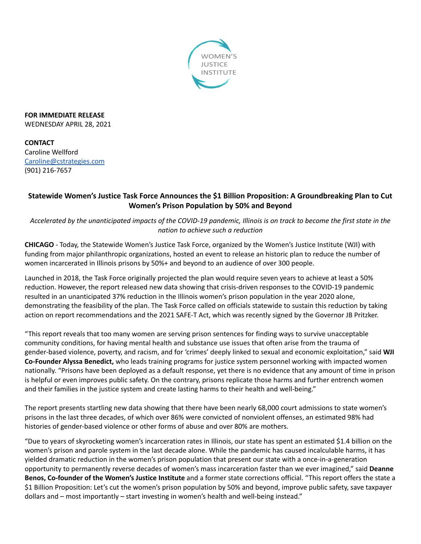

**FOR IMMEDIATE RELEASE** WEDNESDAY APRIL 28, 2021

**CONTACT** Caroline Wellford [Caroline@cstrategies.com](mailto:Caroline@cstrategies.com) (901) 216-7657

## **Statewide Women's Justice Task Force Announces the \$1 Billion Proposition: A Groundbreaking Plan to Cut Women's Prison Population by 50% and Beyond**

Accelerated by the unanticipated impacts of the COVID-19 pandemic, Illinois is on track to become the first state in the *nation to achieve such a reduction*

**CHICAGO** - Today, the Statewide Women's Justice Task Force, organized by the Women's Justice Institute (WJI) with funding from major philanthropic organizations, hosted an event to release an historic plan to reduce the number of women incarcerated in Illinois prisons by 50%+ and beyond to an audience of over 300 people.

Launched in 2018, the Task Force originally projected the plan would require seven years to achieve at least a 50% reduction. However, the report released new data showing that crisis-driven responses to the COVID-19 pandemic resulted in an unanticipated 37% reduction in the Illinois women's prison population in the year 2020 alone, demonstrating the feasibility of the plan. The Task Force called on officials statewide to sustain this reduction by taking action on report recommendations and the 2021 SAFE-T Act, which was recently signed by the Governor JB Pritzker.

"This report reveals that too many women are serving prison sentences for finding ways to survive unacceptable community conditions, for having mental health and substance use issues that often arise from the trauma of gender-based violence, poverty, and racism, and for 'crimes' deeply linked to sexual and economic exploitation," said **WJI Co-Founder Alyssa Benedict,** who leads training programs for justice system personnel working with impacted women nationally. "Prisons have been deployed as a default response, yet there is no evidence that any amount of time in prison is helpful or even improves public safety. On the contrary, prisons replicate those harms and further entrench women and their families in the justice system and create lasting harms to their health and well-being."

The report presents startling new data showing that there have been nearly 68,000 court admissions to state women's prisons in the last three decades, of which over 86% were convicted of nonviolent offenses, an estimated 98% had histories of gender-based violence or other forms of abuse and over 80% are mothers.

"Due to years of skyrocketing women's incarceration rates in Illinois, our state has spent an estimated \$1.4 billion on the women's prison and parole system in the last decade alone. While the pandemic has caused incalculable harms, it has yielded dramatic reduction in the women's prison population that present our state with a once-in-a-generation opportunity to permanently reverse decades of women's mass incarceration faster than we ever imagined," said **Deanne Benos, Co-founder of the Women's Justice Institute** and a former state corrections official. "This report offers the state a \$1 Billion Proposition: Let's cut the women's prison population by 50% and beyond, improve public safety, save taxpayer dollars and – most importantly – start investing in women's health and well-being instead."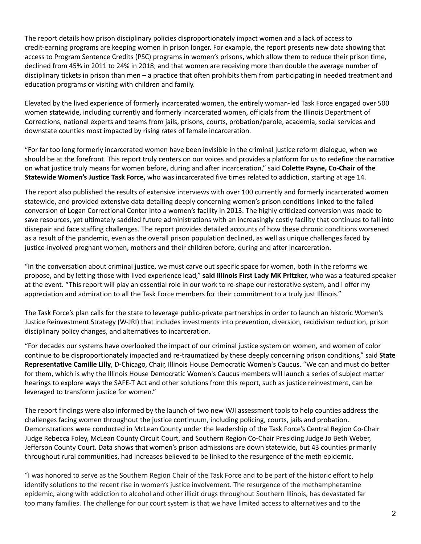The report details how prison disciplinary policies disproportionately impact women and a lack of access to credit-earning programs are keeping women in prison longer. For example, the report presents new data showing that access to Program Sentence Credits (PSC) programs in women's prisons, which allow them to reduce their prison time, declined from 45% in 2011 to 24% in 2018; and that women are receiving more than double the average number of disciplinary tickets in prison than men – a practice that often prohibits them from participating in needed treatment and education programs or visiting with children and family.

Elevated by the lived experience of formerly incarcerated women, the entirely woman-led Task Force engaged over 500 women statewide, including currently and formerly incarcerated women, officials from the Illinois Department of Corrections, national experts and teams from jails, prisons, courts, probation/parole, academia, social services and downstate counties most impacted by rising rates of female incarceration.

"For far too long formerly incarcerated women have been invisible in the criminal justice reform dialogue, when we should be at the forefront. This report truly centers on our voices and provides a platform for us to redefine the narrative on what justice truly means for women before, during and after incarceration," said **Colette Payne, Co-Chair of the Statewide Women's Justice Task Force,** who was incarcerated five times related to addiction, starting at age 14.

The report also published the results of extensive interviews with over 100 currently and formerly incarcerated women statewide, and provided extensive data detailing deeply concerning women's prison conditions linked to the failed conversion of Logan Correctional Center into a women's facility in 2013. The highly criticized conversion was made to save resources, yet ultimately saddled future administrations with an increasingly costly facility that continues to fall into disrepair and face staffing challenges. The report provides detailed accounts of how these chronic conditions worsened as a result of the pandemic, even as the overall prison population declined, as well as unique challenges faced by justice-involved pregnant women, mothers and their children before, during and after incarceration.

"In the conversation about criminal justice, we must carve out specific space for women, both in the reforms we propose, and by letting those with lived experience lead," **said Illinois First Lady MK Pritzker,** who was a featured speaker at the event. "This report will play an essential role in our work to re-shape our restorative system, and I offer my appreciation and admiration to all the Task Force members for their commitment to a truly just Illinois."

The Task Force's plan calls for the state to leverage public-private partnerships in order to launch an historic Women's Justice Reinvestment Strategy (W-JRI) that includes investments into prevention, diversion, recidivism reduction, prison disciplinary policy changes, and alternatives to incarceration.

"For decades our systems have overlooked the impact of our criminal justice system on women, and women of color continue to be disproportionately impacted and re-traumatized by these deeply concerning prison conditions," said **State Representative Camille Lilly**, D-Chicago, Chair, Illinois House Democratic Women's Caucus. "We can and must do better for them, which is why the Illinois House Democratic Women's Caucus members will launch a series of subject matter hearings to explore ways the SAFE-T Act and other solutions from this report, such as justice reinvestment, can be leveraged to transform justice for women."

The report findings were also informed by the launch of two new WJI assessment tools to help counties address the challenges facing women throughout the justice continuum, including policing, courts, jails and probation. Demonstrations were conducted in McLean County under the leadership of the Task Force's Central Region Co-Chair Judge Rebecca Foley, McLean County Circuit Court, and Southern Region Co-Chair Presiding Judge Jo Beth Weber, Jefferson County Court. Data shows that women's prison admissions are down statewide, but 43 counties primarily throughout rural communities, had increases believed to be linked to the resurgence of the meth epidemic.

"I was honored to serve as the Southern Region Chair of the Task Force and to be part of the historic effort to help identify solutions to the recent rise in women's justice involvement. The resurgence of the methamphetamine epidemic, along with addiction to alcohol and other illicit drugs throughout Southern Illinois, has devastated far too many families. The challenge for our court system is that we have limited access to alternatives and to the